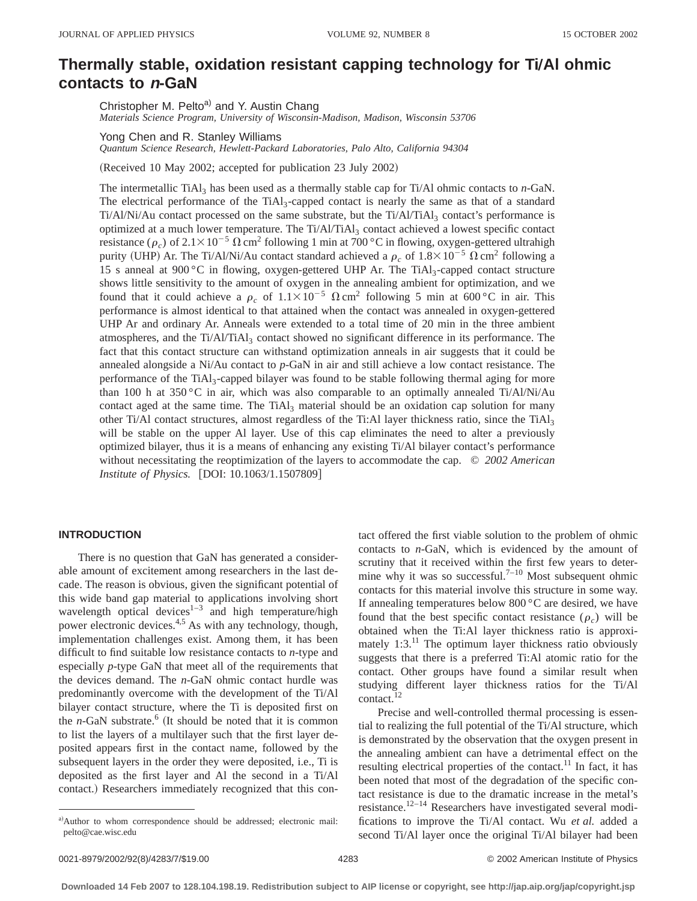# **Thermally stable, oxidation resistant capping technology for Ti/AI ohmic contacts to <sup>n</sup>-GaN**

Christopher M. Pelto<sup>a)</sup> and Y. Austin Chang *Materials Science Program, University of Wisconsin-Madison, Madison, Wisconsin 53706*

Yong Chen and R. Stanley Williams *Quantum Science Research, Hewlett-Packard Laboratories, Palo Alto, California 94304*

(Received 10 May 2002; accepted for publication 23 July 2002)

The intermetallic TiAl<sub>3</sub> has been used as a thermally stable cap for Ti/Al ohmic contacts to  $n$ -GaN. The electrical performance of the TiAl<sub>3</sub>-capped contact is nearly the same as that of a standard  $Ti/Al/Ni/Au$  contact processed on the same substrate, but the  $Ti/Al/TiAl<sub>3</sub>$  contact's performance is optimized at a much lower temperature. The  $Ti/AI/TiAI<sub>3</sub>$  contact achieved a lowest specific contact resistance ( $\rho_c$ ) of 2.1×10<sup>-5</sup>  $\Omega$  cm<sup>2</sup> following 1 min at 700 °C in flowing, oxygen-gettered ultrahigh purity (UHP) Ar. The Ti/Al/Ni/Au contact standard achieved a  $\rho_c$  of  $1.8 \times 10^{-5} \Omega \text{ cm}^2$  following a 15 s anneal at 900 °C in flowing, oxygen-gettered UHP Ar. The TiAl<sub>3</sub>-capped contact structure shows little sensitivity to the amount of oxygen in the annealing ambient for optimization, and we found that it could achieve a  $\rho_c$  of  $1.1 \times 10^{-5}$   $\Omega$  cm<sup>2</sup> following 5 min at 600 °C in air. This performance is almost identical to that attained when the contact was annealed in oxygen-gettered UHP Ar and ordinary Ar. Anneals were extended to a total time of 20 min in the three ambient atmospheres, and the  $Ti/Al/TiAl<sub>3</sub>$  contact showed no significant difference in its performance. The fact that this contact structure can withstand optimization anneals in air suggests that it could be annealed alongside a Ni/Au contact to *p*-GaN in air and still achieve a low contact resistance. The performance of the TiAl3-capped bilayer was found to be stable following thermal aging for more than 100 h at  $350^{\circ}$ C in air, which was also comparable to an optimally annealed Ti/Al/Ni/Au contact aged at the same time. The  $TiAl<sub>3</sub>$  material should be an oxidation cap solution for many other Ti/Al contact structures, almost regardless of the Ti:Al layer thickness ratio, since the TiAl<sub>3</sub> will be stable on the upper Al layer. Use of this cap eliminates the need to alter a previously optimized bilayer, thus it is a means of enhancing any existing Ti/Al bilayer contact's performance without necessitating the reoptimization of the layers to accommodate the cap. © *2002 American Institute of Physics.* [DOI: 10.1063/1.1507809]

## **INTRODUCTION**

There is no question that GaN has generated a considerable amount of excitement among researchers in the last decade. The reason is obvious, given the significant potential of this wide band gap material to applications involving short wavelength optical devices<sup>1-3</sup> and high temperature/high power electronic devices.<sup>4,5</sup> As with any technology, though, implementation challenges exist. Among them, it has been difficult to find suitable low resistance contacts to *n*-type and especially *p*-type GaN that meet all of the requirements that the devices demand. The *n*-GaN ohmic contact hurdle was predominantly overcome with the development of the Ti/Al bilayer contact structure, where the Ti is deposited first on the *n*-GaN substrate.<sup>6</sup> (It should be noted that it is common to list the layers of a multilayer such that the first layer deposited appears first in the contact name, followed by the subsequent layers in the order they were deposited, i.e., Ti is deposited as the first layer and Al the second in a Ti/Al contact.) Researchers immediately recognized that this contact offered the first viable solution to the problem of ohmic contacts to *n*-GaN, which is evidenced by the amount of scrutiny that it received within the first few years to determine why it was so successful.<sup>7-10</sup> Most subsequent ohmic contacts for this material involve this structure in some way. If annealing temperatures below 800 °C are desired, we have found that the best specific contact resistance  $(\rho_c)$  will be obtained when the Ti:Al layer thickness ratio is approximately 1:3.<sup>11</sup> The optimum layer thickness ratio obviously suggests that there is a preferred Ti:Al atomic ratio for the contact. Other groups have found a similar result when studying different layer thickness ratios for the Ti/Al contact.12

Precise and well-controlled thermal processing is essential to realizing the full potential of the Ti/Al structure, which is demonstrated by the observation that the oxygen present in the annealing ambient can have a detrimental effect on the resulting electrical properties of the contact.<sup>11</sup> In fact, it has been noted that most of the degradation of the specific contact resistance is due to the dramatic increase in the metal's resistance.12–14 Researchers have investigated several modifications to improve the Ti/Al contact. Wu *et al.* added a second Ti/Al layer once the original Ti/Al bilayer had been

a)Author to whom correspondence should be addressed; electronic mail: pelto@cae.wisc.edu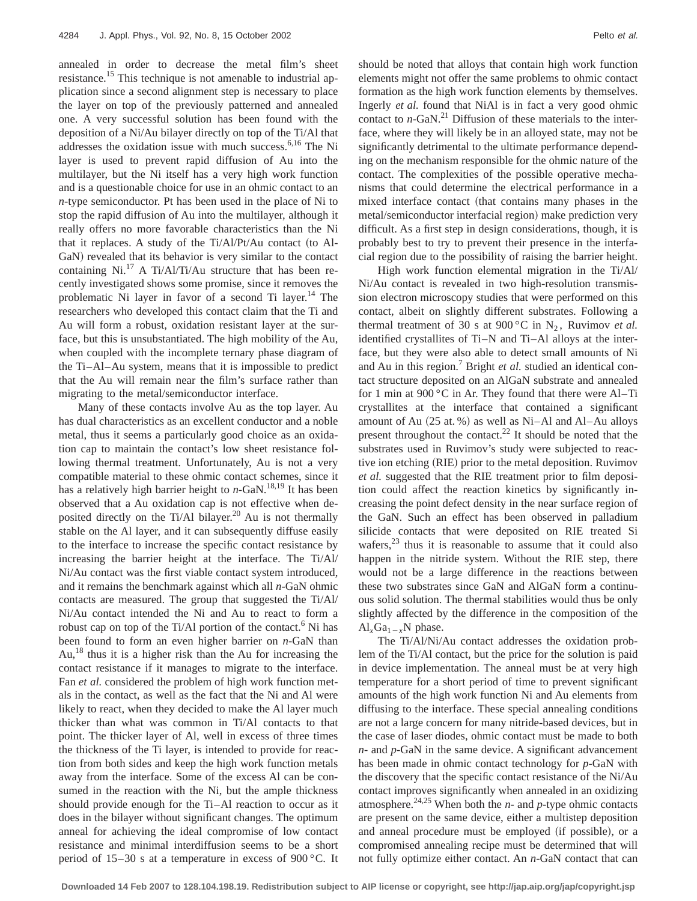annealed in order to decrease the metal film's sheet resistance.<sup>15</sup> This technique is not amenable to industrial application since a second alignment step is necessary to place the layer on top of the previously patterned and annealed one. A very successful solution has been found with the deposition of a Ni/Au bilayer directly on top of the Ti/Al that addresses the oxidation issue with much success. $6,16$  The Ni layer is used to prevent rapid diffusion of Au into the multilayer, but the Ni itself has a very high work function and is a questionable choice for use in an ohmic contact to an *n*-type semiconductor. Pt has been used in the place of Ni to stop the rapid diffusion of Au into the multilayer, although it really offers no more favorable characteristics than the Ni that it replaces. A study of the  $Ti/Al/Pt/Au$  contact (to Al-GaN) revealed that its behavior is very similar to the contact containing Ni.17 A Ti/Al/Ti/Au structure that has been recently investigated shows some promise, since it removes the problematic Ni layer in favor of a second Ti layer.<sup>14</sup> The researchers who developed this contact claim that the Ti and Au will form a robust, oxidation resistant layer at the surface, but this is unsubstantiated. The high mobility of the Au, when coupled with the incomplete ternary phase diagram of the Ti–Al–Au system, means that it is impossible to predict that the Au will remain near the film's surface rather than migrating to the metal/semiconductor interface.

Many of these contacts involve Au as the top layer. Au has dual characteristics as an excellent conductor and a noble metal, thus it seems a particularly good choice as an oxidation cap to maintain the contact's low sheet resistance following thermal treatment. Unfortunately, Au is not a very compatible material to these ohmic contact schemes, since it has a relatively high barrier height to  $n$ -GaN.<sup>18,19</sup> It has been observed that a Au oxidation cap is not effective when deposited directly on the Ti/Al bilayer.<sup>20</sup> Au is not thermally stable on the Al layer, and it can subsequently diffuse easily to the interface to increase the specific contact resistance by increasing the barrier height at the interface. The Ti/Al/ Ni/Au contact was the first viable contact system introduced, and it remains the benchmark against which all *n*-GaN ohmic contacts are measured. The group that suggested the Ti/Al/ Ni/Au contact intended the Ni and Au to react to form a robust cap on top of the Ti/Al portion of the contact.<sup>6</sup> Ni has been found to form an even higher barrier on *n*-GaN than Au,  $^{18}$  thus it is a higher risk than the Au for increasing the contact resistance if it manages to migrate to the interface. Fan *et al.* considered the problem of high work function metals in the contact, as well as the fact that the Ni and Al were likely to react, when they decided to make the Al layer much thicker than what was common in Ti/Al contacts to that point. The thicker layer of Al, well in excess of three times the thickness of the Ti layer, is intended to provide for reaction from both sides and keep the high work function metals away from the interface. Some of the excess Al can be consumed in the reaction with the Ni, but the ample thickness should provide enough for the Ti–Al reaction to occur as it does in the bilayer without significant changes. The optimum anneal for achieving the ideal compromise of low contact resistance and minimal interdiffusion seems to be a short period of 15–30 s at a temperature in excess of 900 °C. It should be noted that alloys that contain high work function elements might not offer the same problems to ohmic contact formation as the high work function elements by themselves. Ingerly *et al.* found that NiAl is in fact a very good ohmic contact to  $n$ -GaN.<sup>21</sup> Diffusion of these materials to the interface, where they will likely be in an alloyed state, may not be significantly detrimental to the ultimate performance depending on the mechanism responsible for the ohmic nature of the contact. The complexities of the possible operative mechanisms that could determine the electrical performance in a mixed interface contact (that contains many phases in the metal/semiconductor interfacial region) make prediction very difficult. As a first step in design considerations, though, it is probably best to try to prevent their presence in the interfacial region due to the possibility of raising the barrier height.

High work function elemental migration in the Ti/Al/ Ni/Au contact is revealed in two high-resolution transmission electron microscopy studies that were performed on this contact, albeit on slightly different substrates. Following a thermal treatment of 30 s at  $900\,^{\circ}\text{C}$  in N<sub>2</sub>, Ruvimov *et al.* identified crystallites of Ti–N and Ti–Al alloys at the interface, but they were also able to detect small amounts of Ni and Au in this region.<sup>7</sup> Bright *et al.* studied an identical contact structure deposited on an AlGaN substrate and annealed for 1 min at 900 °C in Ar. They found that there were Al–Ti crystallites at the interface that contained a significant amount of Au  $(25$  at. %) as well as Ni–Al and Al–Au alloys present throughout the contact.<sup>22</sup> It should be noted that the substrates used in Ruvimov's study were subjected to reactive ion etching (RIE) prior to the metal deposition. Ruvimov *et al.* suggested that the RIE treatment prior to film deposition could affect the reaction kinetics by significantly increasing the point defect density in the near surface region of the GaN. Such an effect has been observed in palladium silicide contacts that were deposited on RIE treated Si wafers, $23$  thus it is reasonable to assume that it could also happen in the nitride system. Without the RIE step, there would not be a large difference in the reactions between these two substrates since GaN and AlGaN form a continuous solid solution. The thermal stabilities would thus be only slightly affected by the difference in the composition of the  $Al_xGa_{1-x}N$  phase.

The Ti/Al/Ni/Au contact addresses the oxidation problem of the Ti/Al contact, but the price for the solution is paid in device implementation. The anneal must be at very high temperature for a short period of time to prevent significant amounts of the high work function Ni and Au elements from diffusing to the interface. These special annealing conditions are not a large concern for many nitride-based devices, but in the case of laser diodes, ohmic contact must be made to both *n*- and *p*-GaN in the same device. A significant advancement has been made in ohmic contact technology for *p*-GaN with the discovery that the specific contact resistance of the Ni/Au contact improves significantly when annealed in an oxidizing atmosphere.<sup>24,25</sup> When both the *n*- and *p*-type ohmic contacts are present on the same device, either a multistep deposition and anneal procedure must be employed (if possible), or a compromised annealing recipe must be determined that will not fully optimize either contact. An *n*-GaN contact that can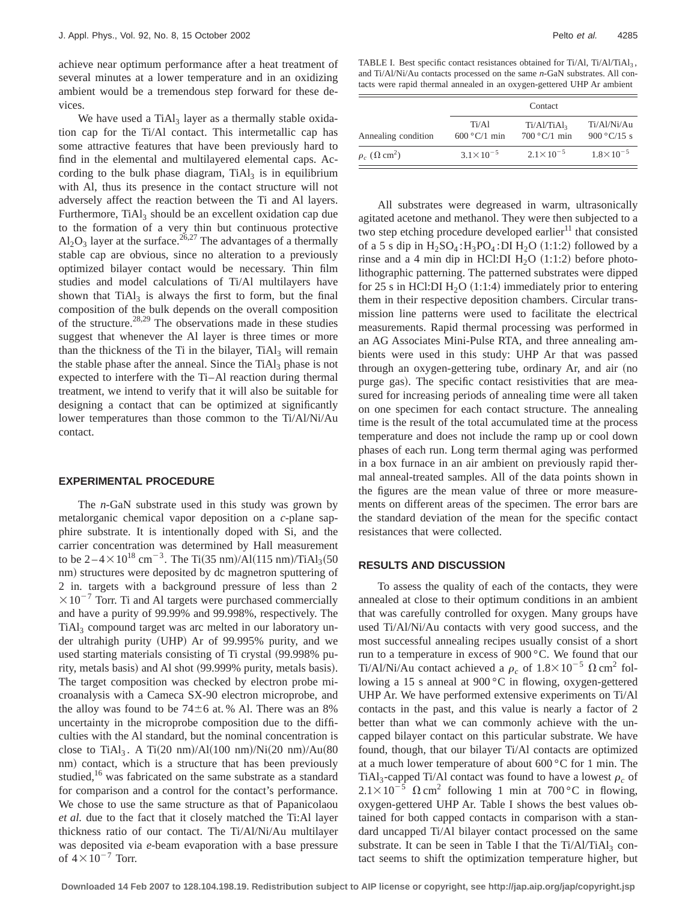achieve near optimum performance after a heat treatment of several minutes at a lower temperature and in an oxidizing ambient would be a tremendous step forward for these devices.

We have used a  $TiAl<sub>3</sub>$  layer as a thermally stable oxidation cap for the Ti/Al contact. This intermetallic cap has some attractive features that have been previously hard to find in the elemental and multilayered elemental caps. According to the bulk phase diagram,  $TiAl<sub>3</sub>$  is in equilibrium with Al, thus its presence in the contact structure will not adversely affect the reaction between the Ti and Al layers. Furthermore,  $TiAl<sub>3</sub>$  should be an excellent oxidation cap due to the formation of a very thin but continuous protective  $Al_2O_3$  layer at the surface.<sup>26,27</sup> The advantages of a thermally stable cap are obvious, since no alteration to a previously optimized bilayer contact would be necessary. Thin film studies and model calculations of Ti/Al multilayers have shown that  $TiAl<sub>3</sub>$  is always the first to form, but the final composition of the bulk depends on the overall composition of the structure.28,29 The observations made in these studies suggest that whenever the Al layer is three times or more than the thickness of the Ti in the bilayer,  $TiAl<sub>3</sub>$  will remain the stable phase after the anneal. Since the  $TiAl<sub>3</sub>$  phase is not expected to interfere with the Ti–Al reaction during thermal treatment, we intend to verify that it will also be suitable for designing a contact that can be optimized at significantly lower temperatures than those common to the Ti/Al/Ni/Au contact.

### **EXPERIMENTAL PROCEDURE**

The *n*-GaN substrate used in this study was grown by metalorganic chemical vapor deposition on a *c*-plane sapphire substrate. It is intentionally doped with Si, and the carrier concentration was determined by Hall measurement to be  $2-4\times10^{18}$  cm<sup>-3</sup>. The Ti(35 nm)/Al(115 nm)/TiAl<sub>3</sub>(50 nm) structures were deposited by dc magnetron sputtering of 2 in. targets with a background pressure of less than 2  $\times 10^{-7}$  Torr. Ti and Al targets were purchased commercially and have a purity of 99.99% and 99.998%, respectively. The  $TiAl<sub>3</sub>$  compound target was arc melted in our laboratory under ultrahigh purity (UHP) Ar of 99.995% purity, and we used starting materials consisting of Ti crystal (99.998% purity, metals basis) and Al shot (99.999% purity, metals basis). The target composition was checked by electron probe microanalysis with a Cameca SX-90 electron microprobe, and the alloy was found to be  $74\pm6$  at. % Al. There was an 8% uncertainty in the microprobe composition due to the difficulties with the Al standard, but the nominal concentration is close to TiAl<sub>3</sub>. A Ti(20 nm)/Al(100 nm)/Ni(20 nm)/Au(80 nm) contact, which is a structure that has been previously studied,<sup>16</sup> was fabricated on the same substrate as a standard for comparison and a control for the contact's performance. We chose to use the same structure as that of Papanicolaou *et al.* due to the fact that it closely matched the Ti:Al layer thickness ratio of our contact. The Ti/Al/Ni/Au multilayer was deposited via *e*-beam evaporation with a base pressure of  $4\times10^{-7}$  Torr.

TABLE I. Best specific contact resistances obtained for Ti/Al, Ti/Al/TiAl<sub>3</sub>, and Ti/Al/Ni/Au contacts processed on the same *n*-GaN substrates. All contacts were rapid thermal annealed in an oxygen-gettered UHP Ar ambient

| Annealing condition                   | Contact                 |                                           |                            |
|---------------------------------------|-------------------------|-------------------------------------------|----------------------------|
|                                       | Ti/A1<br>$600 °C/1$ min | Ti/Al/TiAl <sub>3</sub><br>$700 °C/1$ min | Ti/Al/Ni/Au<br>900 °C/15 s |
| $\rho_c$ ( $\Omega$ cm <sup>2</sup> ) | $3.1 \times 10^{-5}$    | $2.1 \times 10^{-5}$                      | $1.8 \times 10^{-5}$       |

All substrates were degreased in warm, ultrasonically agitated acetone and methanol. They were then subjected to a two step etching procedure developed earlier<sup>11</sup> that consisted of a 5 s dip in  $H_2SO_4$ : $H_3PO_4$ :DI  $H_2O$  (1:1:2) followed by a rinse and a 4 min dip in HCl:DI  $H<sub>2</sub>O$  (1:1:2) before photolithographic patterning. The patterned substrates were dipped for 25 s in HCl:DI  $H<sub>2</sub>O$  (1:1:4) immediately prior to entering them in their respective deposition chambers. Circular transmission line patterns were used to facilitate the electrical measurements. Rapid thermal processing was performed in an AG Associates Mini-Pulse RTA, and three annealing ambients were used in this study: UHP Ar that was passed through an oxygen-gettering tube, ordinary Ar, and air (no purge gas). The specific contact resistivities that are measured for increasing periods of annealing time were all taken on one specimen for each contact structure. The annealing time is the result of the total accumulated time at the process temperature and does not include the ramp up or cool down phases of each run. Long term thermal aging was performed in a box furnace in an air ambient on previously rapid thermal anneal-treated samples. All of the data points shown in the figures are the mean value of three or more measurements on different areas of the specimen. The error bars are the standard deviation of the mean for the specific contact resistances that were collected.

### **RESULTS AND DISCUSSION**

To assess the quality of each of the contacts, they were annealed at close to their optimum conditions in an ambient that was carefully controlled for oxygen. Many groups have used Ti/Al/Ni/Au contacts with very good success, and the most successful annealing recipes usually consist of a short run to a temperature in excess of 900 °C. We found that our Ti/Al/Ni/Au contact achieved a  $\rho_c$  of  $1.8 \times 10^{-5}$   $\Omega$  cm<sup>2</sup> following a 15 s anneal at 900 °C in flowing, oxygen-gettered UHP Ar. We have performed extensive experiments on Ti/Al contacts in the past, and this value is nearly a factor of 2 better than what we can commonly achieve with the uncapped bilayer contact on this particular substrate. We have found, though, that our bilayer Ti/Al contacts are optimized at a much lower temperature of about 600 °C for 1 min. The TiAl<sub>3</sub>-capped Ti/Al contact was found to have a lowest  $\rho_c$  of  $2.1\times10^{-5}$   $\Omega$  cm<sup>2</sup> following 1 min at 700 °C in flowing, oxygen-gettered UHP Ar. Table I shows the best values obtained for both capped contacts in comparison with a standard uncapped Ti/Al bilayer contact processed on the same substrate. It can be seen in Table I that the  $Ti/Al/TiAl<sub>3</sub>$  contact seems to shift the optimization temperature higher, but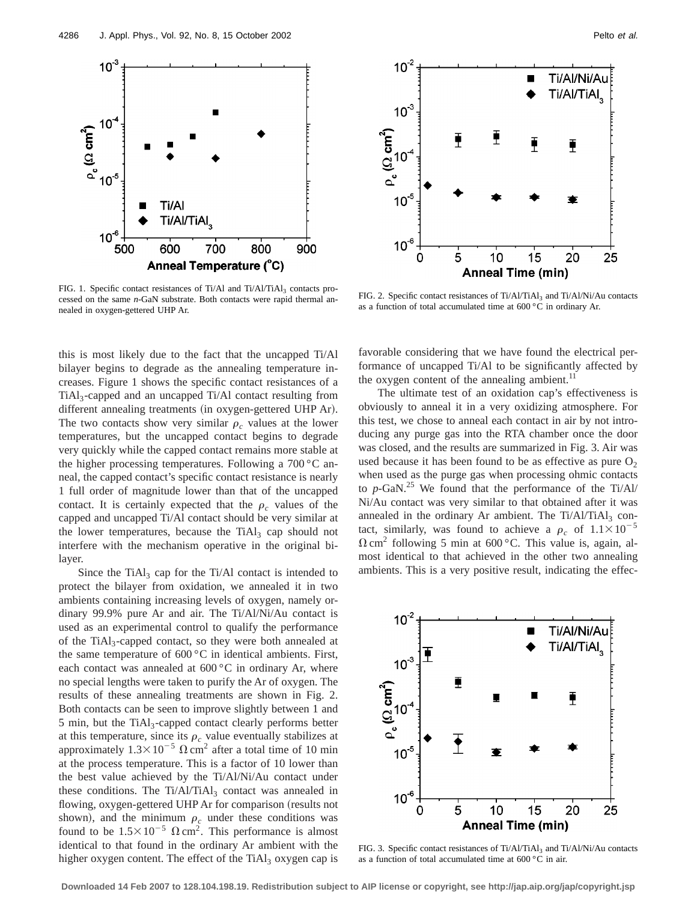

FIG. 1. Specific contact resistances of Ti/Al and Ti/Al/TiAl<sub>3</sub> contacts processed on the same *n*-GaN substrate. Both contacts were rapid thermal annealed in oxygen-gettered UHP Ar.

this is most likely due to the fact that the uncapped Ti/Al bilayer begins to degrade as the annealing temperature increases. Figure 1 shows the specific contact resistances of a  $TiAl<sub>3</sub>$ -capped and an uncapped  $Ti/Al$  contact resulting from different annealing treatments (in oxygen-gettered UHP Ar). The two contacts show very similar  $\rho_c$  values at the lower temperatures, but the uncapped contact begins to degrade very quickly while the capped contact remains more stable at the higher processing temperatures. Following a 700 °C anneal, the capped contact's specific contact resistance is nearly 1 full order of magnitude lower than that of the uncapped contact. It is certainly expected that the  $\rho_c$  values of the capped and uncapped Ti/Al contact should be very similar at the lower temperatures, because the  $TiAl<sub>3</sub>$  cap should not interfere with the mechanism operative in the original bilayer.

Since the Ti $Al_3$  cap for the Ti/Al contact is intended to protect the bilayer from oxidation, we annealed it in two ambients containing increasing levels of oxygen, namely ordinary 99.9% pure Ar and air. The Ti/Al/Ni/Au contact is used as an experimental control to qualify the performance of the TiAl<sub>3</sub>-capped contact, so they were both annealed at the same temperature of 600 °C in identical ambients. First, each contact was annealed at  $600\,^{\circ}\text{C}$  in ordinary Ar, where no special lengths were taken to purify the Ar of oxygen. The results of these annealing treatments are shown in Fig. 2. Both contacts can be seen to improve slightly between 1 and 5 min, but the  $TiAl<sub>3</sub>$ -capped contact clearly performs better at this temperature, since its  $\rho_c$  value eventually stabilizes at approximately  $1.3 \times 10^{-5}$   $\Omega$  cm<sup>2</sup> after a total time of 10 min at the process temperature. This is a factor of 10 lower than the best value achieved by the Ti/Al/Ni/Au contact under these conditions. The Ti/Al/TiAl<sub>3</sub> contact was annealed in flowing, oxygen-gettered UHP Ar for comparison (results not shown), and the minimum  $\rho_c$  under these conditions was found to be  $1.5 \times 10^{-5}$   $\Omega$  cm<sup>2</sup>. This performance is almost identical to that found in the ordinary Ar ambient with the higher oxygen content. The effect of the  $TiAl<sub>3</sub>$  oxygen cap is



FIG. 2. Specific contact resistances of Ti/Al/TiAl<sub>3</sub> and Ti/Al/Ni/Au contacts as a function of total accumulated time at 600 °C in ordinary Ar.

favorable considering that we have found the electrical performance of uncapped Ti/Al to be significantly affected by the oxygen content of the annealing ambient. $^{11}$ 

The ultimate test of an oxidation cap's effectiveness is obviously to anneal it in a very oxidizing atmosphere. For this test, we chose to anneal each contact in air by not introducing any purge gas into the RTA chamber once the door was closed, and the results are summarized in Fig. 3. Air was used because it has been found to be as effective as pure  $O_2$ when used as the purge gas when processing ohmic contacts to  $p$ -GaN.<sup>25</sup> We found that the performance of the Ti/Al/ Ni/Au contact was very similar to that obtained after it was annealed in the ordinary Ar ambient. The  $Ti/Al/TiAl<sub>3</sub>$  contact, similarly, was found to achieve a  $\rho_c$  of  $1.1 \times 10^{-5}$  $\Omega$  cm<sup>2</sup> following 5 min at 600 °C. This value is, again, almost identical to that achieved in the other two annealing ambients. This is a very positive result, indicating the effec-



FIG. 3. Specific contact resistances of Ti/Al/TiAl<sub>3</sub> and Ti/Al/Ni/Au contacts as a function of total accumulated time at 600 °C in air.

**Downloaded 14 Feb 2007 to 128.104.198.19. Redistribution subject to AIP license or copyright, see http://jap.aip.org/jap/copyright.jsp**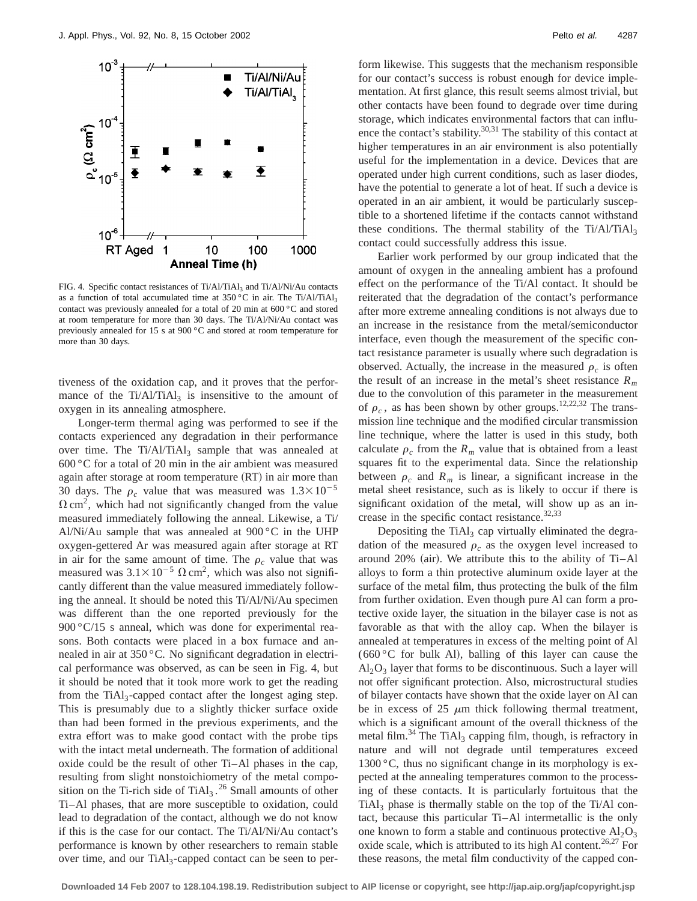

FIG. 4. Specific contact resistances of Ti/Al/TiAl<sub>3</sub> and Ti/Al/Ni/Au contacts as a function of total accumulated time at  $350\,^{\circ}\text{C}$  in air. The Ti/Al/TiAl<sub>3</sub> contact was previously annealed for a total of 20 min at 600 °C and stored at room temperature for more than 30 days. The Ti/Al/Ni/Au contact was previously annealed for 15 s at 900 °C and stored at room temperature for more than 30 days.

tiveness of the oxidation cap, and it proves that the performance of the Ti/Al/TiAl<sub>3</sub> is insensitive to the amount of oxygen in its annealing atmosphere.

Longer-term thermal aging was performed to see if the contacts experienced any degradation in their performance over time. The Ti/Al/TiAl<sub>3</sub> sample that was annealed at 600 °C for a total of 20 min in the air ambient was measured again after storage at room temperature (RT) in air more than 30 days. The  $\rho_c$  value that was measured was  $1.3 \times 10^{-5}$  $\Omega$  cm<sup>2</sup>, which had not significantly changed from the value measured immediately following the anneal. Likewise, a Ti/ Al/Ni/Au sample that was annealed at 900 °C in the UHP oxygen-gettered Ar was measured again after storage at RT in air for the same amount of time. The  $\rho_c$  value that was measured was  $3.1 \times 10^{-5} \Omega \text{ cm}^2$ , which was also not significantly different than the value measured immediately following the anneal. It should be noted this Ti/Al/Ni/Au specimen was different than the one reported previously for the  $900 \degree C/15$  s anneal, which was done for experimental reasons. Both contacts were placed in a box furnace and annealed in air at 350 °C. No significant degradation in electrical performance was observed, as can be seen in Fig. 4, but it should be noted that it took more work to get the reading from the TiAl<sub>3</sub>-capped contact after the longest aging step. This is presumably due to a slightly thicker surface oxide than had been formed in the previous experiments, and the extra effort was to make good contact with the probe tips with the intact metal underneath. The formation of additional oxide could be the result of other Ti–Al phases in the cap, resulting from slight nonstoichiometry of the metal composition on the Ti-rich side of TiAl<sub>3</sub>.<sup>26</sup> Small amounts of other Ti–Al phases, that are more susceptible to oxidation, could lead to degradation of the contact, although we do not know if this is the case for our contact. The Ti/Al/Ni/Au contact's performance is known by other researchers to remain stable over time, and our TiAl<sub>3</sub>-capped contact can be seen to per-

form likewise. This suggests that the mechanism responsible for our contact's success is robust enough for device implementation. At first glance, this result seems almost trivial, but other contacts have been found to degrade over time during storage, which indicates environmental factors that can influence the contact's stability. $30,31$  The stability of this contact at higher temperatures in an air environment is also potentially useful for the implementation in a device. Devices that are operated under high current conditions, such as laser diodes, have the potential to generate a lot of heat. If such a device is operated in an air ambient, it would be particularly susceptible to a shortened lifetime if the contacts cannot withstand these conditions. The thermal stability of the  $Ti/Al/TiAl<sub>3</sub>$ contact could successfully address this issue.

Earlier work performed by our group indicated that the amount of oxygen in the annealing ambient has a profound effect on the performance of the Ti/Al contact. It should be reiterated that the degradation of the contact's performance after more extreme annealing conditions is not always due to an increase in the resistance from the metal/semiconductor interface, even though the measurement of the specific contact resistance parameter is usually where such degradation is observed. Actually, the increase in the measured  $\rho_c$  is often the result of an increase in the metal's sheet resistance *Rm* due to the convolution of this parameter in the measurement of  $\rho_c$ , as has been shown by other groups.<sup>12,22,32</sup> The transmission line technique and the modified circular transmission line technique, where the latter is used in this study, both calculate  $\rho_c$  from the  $R_m$  value that is obtained from a least squares fit to the experimental data. Since the relationship between  $\rho_c$  and  $R_m$  is linear, a significant increase in the metal sheet resistance, such as is likely to occur if there is significant oxidation of the metal, will show up as an increase in the specific contact resistance. $32,33$ 

Depositing the  $TiAl<sub>3</sub>$  cap virtually eliminated the degradation of the measured  $\rho_c$  as the oxygen level increased to around 20% (air). We attribute this to the ability of Ti-Al alloys to form a thin protective aluminum oxide layer at the surface of the metal film, thus protecting the bulk of the film from further oxidation. Even though pure Al can form a protective oxide layer, the situation in the bilayer case is not as favorable as that with the alloy cap. When the bilayer is annealed at temperatures in excess of the melting point of Al  $(660\degree C)$  for bulk Al), balling of this layer can cause the  $Al_2O_3$  layer that forms to be discontinuous. Such a layer will not offer significant protection. Also, microstructural studies of bilayer contacts have shown that the oxide layer on Al can be in excess of 25  $\mu$ m thick following thermal treatment, which is a significant amount of the overall thickness of the metal film.<sup>34</sup> The TiAl<sub>3</sub> capping film, though, is refractory in nature and will not degrade until temperatures exceed  $1300 \degree C$ , thus no significant change in its morphology is expected at the annealing temperatures common to the processing of these contacts. It is particularly fortuitous that the  $TiAl<sub>3</sub>$  phase is thermally stable on the top of the Ti/Al contact, because this particular Ti–Al intermetallic is the only one known to form a stable and continuous protective  $Al_2O_3$ oxide scale, which is attributed to its high Al content.<sup>26,27</sup> For these reasons, the metal film conductivity of the capped con-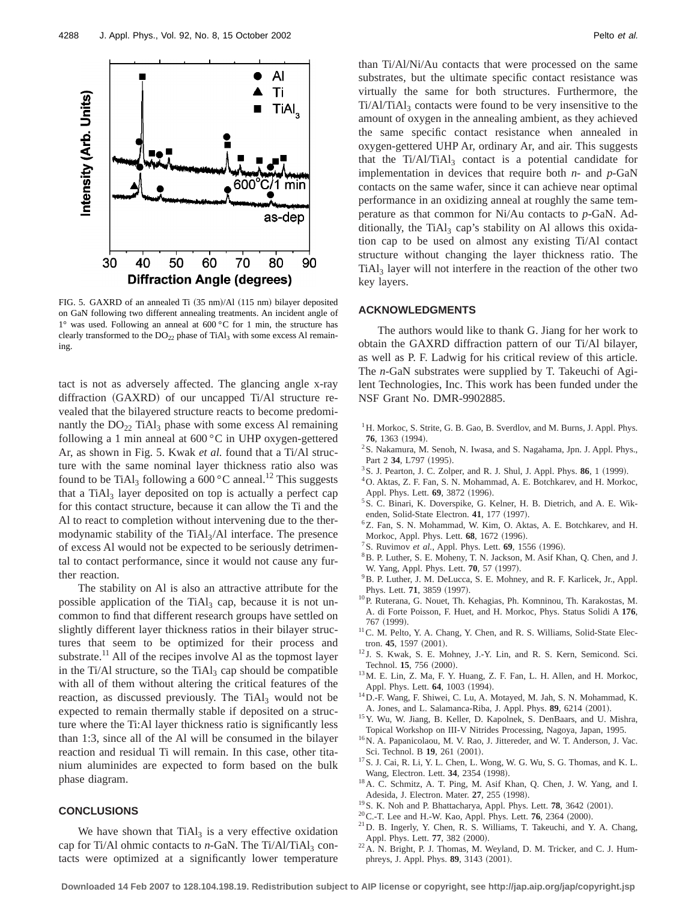

FIG. 5. GAXRD of an annealed Ti (35 nm)/Al (115 nm) bilayer deposited on GaN following two different annealing treatments. An incident angle of 1° was used. Following an anneal at 600 °C for 1 min, the structure has clearly transformed to the  $DO_{22}$  phase of TiAl<sub>3</sub> with some excess Al remaining.

tact is not as adversely affected. The glancing angle x-ray diffraction  $(GAXRD)$  of our uncapped Ti/Al structure revealed that the bilayered structure reacts to become predominantly the  $DO_{22}$  TiAl<sub>3</sub> phase with some excess Al remaining following a 1 min anneal at 600 °C in UHP oxygen-gettered Ar, as shown in Fig. 5. Kwak *et al.* found that a Ti/Al structure with the same nominal layer thickness ratio also was found to be TiAl<sub>3</sub> following a 600 °C anneal.<sup>12</sup> This suggests that a TiAl<sub>3</sub> layer deposited on top is actually a perfect cap for this contact structure, because it can allow the Ti and the Al to react to completion without intervening due to the thermodynamic stability of the TiAl<sub>3</sub>/Al interface. The presence of excess Al would not be expected to be seriously detrimental to contact performance, since it would not cause any further reaction.

The stability on Al is also an attractive attribute for the possible application of the TiAl<sub>3</sub> cap, because it is not uncommon to find that different research groups have settled on slightly different layer thickness ratios in their bilayer structures that seem to be optimized for their process and substrate.<sup>11</sup> All of the recipes involve Al as the topmost layer in the Ti/Al structure, so the TiAl $_3$  cap should be compatible with all of them without altering the critical features of the reaction, as discussed previously. The TiAl<sub>3</sub> would not be expected to remain thermally stable if deposited on a structure where the Ti:Al layer thickness ratio is significantly less than 1:3, since all of the Al will be consumed in the bilayer reaction and residual Ti will remain. In this case, other titanium aluminides are expected to form based on the bulk phase diagram.

## **CONCLUSIONS**

We have shown that  $TiAl<sub>3</sub>$  is a very effective oxidation cap for Ti/Al ohmic contacts to *n*-GaN. The Ti/Al/TiAl<sub>3</sub> contacts were optimized at a significantly lower temperature than Ti/Al/Ni/Au contacts that were processed on the same substrates, but the ultimate specific contact resistance was virtually the same for both structures. Furthermore, the  $Ti/Al/TiAl<sub>3</sub>$  contacts were found to be very insensitive to the amount of oxygen in the annealing ambient, as they achieved the same specific contact resistance when annealed in oxygen-gettered UHP Ar, ordinary Ar, and air. This suggests that the  $Ti/Al/TiAl<sub>3</sub>$  contact is a potential candidate for implementation in devices that require both *n*- and *p*-GaN contacts on the same wafer, since it can achieve near optimal performance in an oxidizing anneal at roughly the same temperature as that common for Ni/Au contacts to *p*-GaN. Additionally, the  $TiAl<sub>3</sub>$  cap's stability on Al allows this oxidation cap to be used on almost any existing Ti/Al contact structure without changing the layer thickness ratio. The

#### **ACKNOWLEDGMENTS**

key layers.

The authors would like to thank G. Jiang for her work to obtain the GAXRD diffraction pattern of our Ti/Al bilayer, as well as P. F. Ladwig for his critical review of this article. The *n*-GaN substrates were supplied by T. Takeuchi of Agilent Technologies, Inc. This work has been funded under the NSF Grant No. DMR-9902885.

 $TiAl<sub>3</sub>$  layer will not interfere in the reaction of the other two

- <sup>1</sup>H. Morkoc, S. Strite, G. B. Gao, B. Sverdlov, and M. Burns, J. Appl. Phys. 76, 1363 (1994).
- 2S. Nakamura, M. Senoh, N. Iwasa, and S. Nagahama, Jpn. J. Appl. Phys., Part 2 34, L797 (1995).
- $3$  S. J. Pearton, J. C. Zolper, and R. J. Shul, J. Appl. Phys. **86**, 1 (1999).
- 4O. Aktas, Z. F. Fan, S. N. Mohammad, A. E. Botchkarev, and H. Morkoc, Appl. Phys. Lett. **69**, 3872 (1996).
- <sup>5</sup>S. C. Binari, K. Doverspike, G. Kelner, H. B. Dietrich, and A. E. Wikenden, Solid-State Electron. 41, 177 (1997).
- 6Z. Fan, S. N. Mohammad, W. Kim, O. Aktas, A. E. Botchkarev, and H. Morkoc, Appl. Phys. Lett. 68, 1672 (1996).
- <sup>7</sup> S. Ruvimov *et al.*, Appl. Phys. Lett. **69**, 1556 (1996).
- 8B. P. Luther, S. E. Moheny, T. N. Jackson, M. Asif Khan, Q. Chen, and J. W. Yang, Appl. Phys. Lett. **70**, 57 (1997).
- <sup>9</sup>B. P. Luther, J. M. DeLucca, S. E. Mohney, and R. F. Karlicek, Jr., Appl. Phys. Lett. **71**, 3859 (1997).
- 10P. Ruterana, G. Nouet, Th. Kehagias, Ph. Komninou, Th. Karakostas, M. A. di Forte Poisson, F. Huet, and H. Morkoc, Phys. Status Solidi A **176**, 767 (1999).
- <sup>11</sup>C. M. Pelto, Y. A. Chang, Y. Chen, and R. S. Williams, Solid-State Electron. 45, 1597 (2001).
- <sup>12</sup> J. S. Kwak, S. E. Mohney, J.-Y. Lin, and R. S. Kern, Semicond. Sci. Technol. **15**, 756 (2000).
- 13M. E. Lin, Z. Ma, F. Y. Huang, Z. F. Fan, L. H. Allen, and H. Morkoc, Appl. Phys. Lett. **64**, 1003 (1994).
- 14D.-F. Wang, F. Shiwei, C. Lu, A. Motayed, M. Jah, S. N. Mohammad, K. A. Jones, and L. Salamanca-Riba, J. Appl. Phys. 89, 6214 (2001).
- 15Y. Wu, W. Jiang, B. Keller, D. Kapolnek, S. DenBaars, and U. Mishra, Topical Workshop on III-V Nitrides Processing, Nagoya, Japan, 1995.
- <sup>16</sup>N. A. Papanicolaou, M. V. Rao, J. Jittereder, and W. T. Anderson, J. Vac. Sci. Technol. B 19, 261 (2001).
- $^{17}$  S. J. Cai, R. Li, Y. L. Chen, L. Wong, W. G. Wu, S. G. Thomas, and K. L. Wang, Electron. Lett. 34, 2354 (1998).
- 18A. C. Schmitz, A. T. Ping, M. Asif Khan, Q. Chen, J. W. Yang, and I. Adesida, J. Electron. Mater. **27**, 255 (1998).
- $19$  S. K. Noh and P. Bhattacharya, Appl. Phys. Lett. **78**, 3642  $(2001)$ .
- $20$  C.-T. Lee and H.-W. Kao, Appl. Phys. Lett. **76**, 2364 (2000).
- 21D. B. Ingerly, Y. Chen, R. S. Williams, T. Takeuchi, and Y. A. Chang, Appl. Phys. Lett. **77**, 382 (2000).
- 22A. N. Bright, P. J. Thomas, M. Weyland, D. M. Tricker, and C. J. Humphreys, J. Appl. Phys. **89**, 3143 (2001).